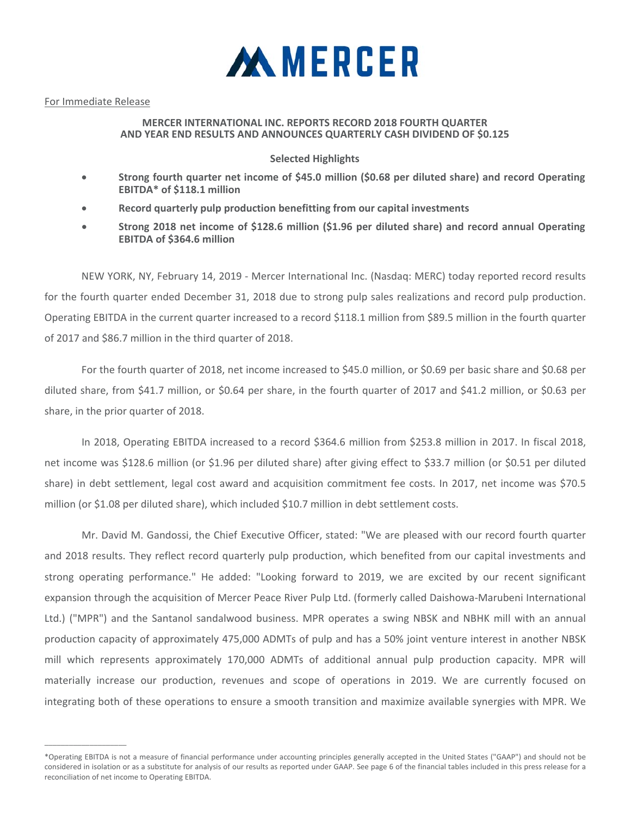

## For Immediate Release

 $\_$ 

## **MERCER INTERNATIONAL INC. REPORTS RECORD 2018 FOURTH QUARTER AND YEAR END RESULTS AND ANNOUNCES QUARTERLY CASH DIVIDEND OF \$0.125**

# **Selected Highlights**

- **Strong fourth quarter net income of \$45.0 million (\$0.68 per diluted share) and record Operating EBITDA\* of \$118.1 million**
- **Record quarterly pulp production benefitting from our capital investments**
- **Strong 2018 net income of \$128.6 million (\$1.96 per diluted share) and record annual Operating EBITDA of \$364.6 million**

NEW YORK, NY, February 14, 2019 ‐ Mercer International Inc. (Nasdaq: MERC) today reported record results for the fourth quarter ended December 31, 2018 due to strong pulp sales realizations and record pulp production. Operating EBITDA in the current quarter increased to a record \$118.1 million from \$89.5 million in the fourth quarter of 2017 and \$86.7 million in the third quarter of 2018.

For the fourth quarter of 2018, net income increased to \$45.0 million, or \$0.69 per basic share and \$0.68 per diluted share, from \$41.7 million, or \$0.64 per share, in the fourth quarter of 2017 and \$41.2 million, or \$0.63 per share, in the prior quarter of 2018.

In 2018, Operating EBITDA increased to a record \$364.6 million from \$253.8 million in 2017. In fiscal 2018, net income was \$128.6 million (or \$1.96 per diluted share) after giving effect to \$33.7 million (or \$0.51 per diluted share) in debt settlement, legal cost award and acquisition commitment fee costs. In 2017, net income was \$70.5 million (or \$1.08 per diluted share), which included \$10.7 million in debt settlement costs.

Mr. David M. Gandossi, the Chief Executive Officer, stated: "We are pleased with our record fourth quarter and 2018 results. They reflect record quarterly pulp production, which benefited from our capital investments and strong operating performance." He added: "Looking forward to 2019, we are excited by our recent significant expansion through the acquisition of Mercer Peace River Pulp Ltd. (formerly called Daishowa‐Marubeni International Ltd.) ("MPR") and the Santanol sandalwood business. MPR operates a swing NBSK and NBHK mill with an annual production capacity of approximately 475,000 ADMTs of pulp and has a 50% joint venture interest in another NBSK mill which represents approximately 170,000 ADMTs of additional annual pulp production capacity. MPR will materially increase our production, revenues and scope of operations in 2019. We are currently focused on integrating both of these operations to ensure a smooth transition and maximize available synergies with MPR. We

<sup>\*</sup>Operating EBITDA is not a measure of financial performance under accounting principles generally accepted in the United States ("GAAP") and should not be considered in isolation or as a substitute for analysis of our results as reported under GAAP. See page 6 of the financial tables included in this press release for a reconciliation of net income to Operating EBITDA.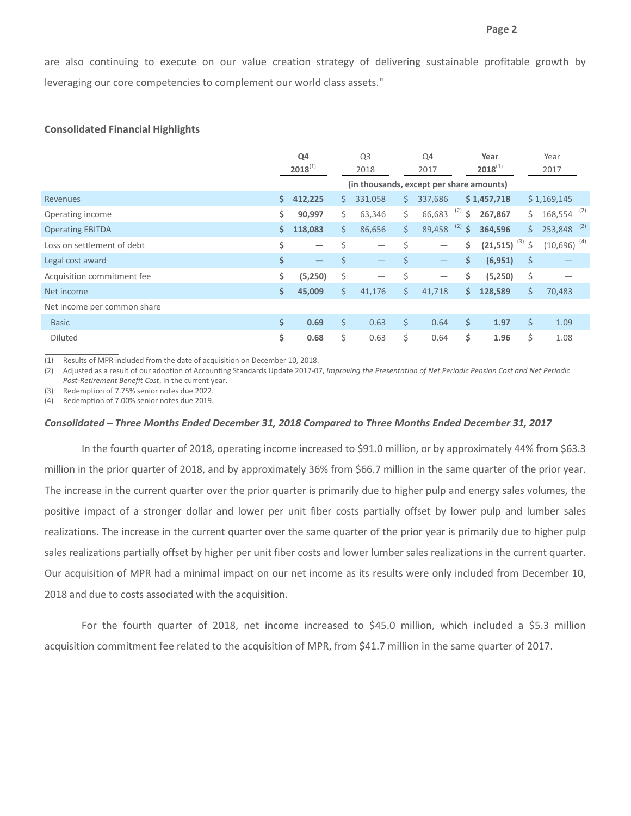are also continuing to execute on our value creation strategy of delivering sustainable profitable growth by leveraging our core competencies to complement our world class assets."

## **Consolidated Financial Highlights**

|                             |     | Q4<br>$2018^{(1)}$                       |    | Q <sub>3</sub><br>2018   |    | Q4<br>2017                      |           | Year<br>$2018^{(1)}$ |    | Year<br>2017              |  |
|-----------------------------|-----|------------------------------------------|----|--------------------------|----|---------------------------------|-----------|----------------------|----|---------------------------|--|
|                             |     | (in thousands, except per share amounts) |    |                          |    |                                 |           |                      |    |                           |  |
| Revenues                    | \$. | 412,225                                  | S. | 331,058                  | S. | 337,686                         |           | \$1,457,718          |    | \$1,169,145               |  |
| Operating income            | \$  | 90,997                                   | Ś. | 63,346                   | \$ | 66,683                          | (2)<br>\$ | 267,867              | Ś. | $168,554$ <sup>(2)</sup>  |  |
| <b>Operating EBITDA</b>     | \$  | 118,083                                  | Ś. | 86,656                   | \$ | 89,458                          | (2)<br>\$ | 364,596              | Ś. | $253,848$ <sup>(2)</sup>  |  |
| Loss on settlement of debt  | \$  | $\overline{\phantom{0}}$                 | \$ | $\overline{\phantom{m}}$ | \$ |                                 | \$        | $(21,515)^{(3)}$ \$  |    | $(10,696)$ <sup>(4)</sup> |  |
| Legal cost award            | \$  | $\overline{\phantom{m}}$                 | \$ | $\overline{\phantom{m}}$ | \$ | $\hspace{0.1mm}-\hspace{0.1mm}$ | \$        | (6, 951)             | \$ |                           |  |
| Acquisition commitment fee  | \$  | (5,250)                                  | \$ | $\overline{\phantom{0}}$ | \$ |                                 | \$        | (5,250)              | \$ |                           |  |
| Net income                  | \$  | 45,009                                   | \$ | 41,176                   | \$ | 41,718                          | \$.       | 128,589              | \$ | 70,483                    |  |
| Net income per common share |     |                                          |    |                          |    |                                 |           |                      |    |                           |  |
| <b>Basic</b>                | \$  | 0.69                                     | \$ | 0.63                     | \$ | 0.64                            | \$        | 1.97                 | \$ | 1.09                      |  |
| <b>Diluted</b>              | \$  | 0.68                                     | \$ | 0.63                     | \$ | 0.64                            | \$        | 1.96                 | \$ | 1.08                      |  |

(1) Results of MPR included from the date of acquisition on December 10, 2018.

(2) Adjusted as a result of our adoption of Accounting Standards Update 2017-07, Improving the Presentation of Net Periodic Pension Cost and Net Periodic *Post‐Retirement Benefit Cost*, in the current year.

(3) Redemption of 7.75% senior notes due 2022.

(4) Redemption of 7.00% senior notes due 2019.

## *Consolidated – Three Months Ended December 31, 2018 Compared to Three Months Ended December 31, 2017*

In the fourth quarter of 2018, operating income increased to \$91.0 million, or by approximately 44% from \$63.3 million in the prior quarter of 2018, and by approximately 36% from \$66.7 million in the same quarter of the prior year. The increase in the current quarter over the prior quarter is primarily due to higher pulp and energy sales volumes, the positive impact of a stronger dollar and lower per unit fiber costs partially offset by lower pulp and lumber sales realizations. The increase in the current quarter over the same quarter of the prior year is primarily due to higher pulp sales realizations partially offset by higher per unit fiber costs and lower lumber sales realizations in the current quarter. Our acquisition of MPR had a minimal impact on our net income as its results were only included from December 10, 2018 and due to costs associated with the acquisition.

For the fourth quarter of 2018, net income increased to \$45.0 million, which included a \$5.3 million acquisition commitment fee related to the acquisition of MPR, from \$41.7 million in the same quarter of 2017.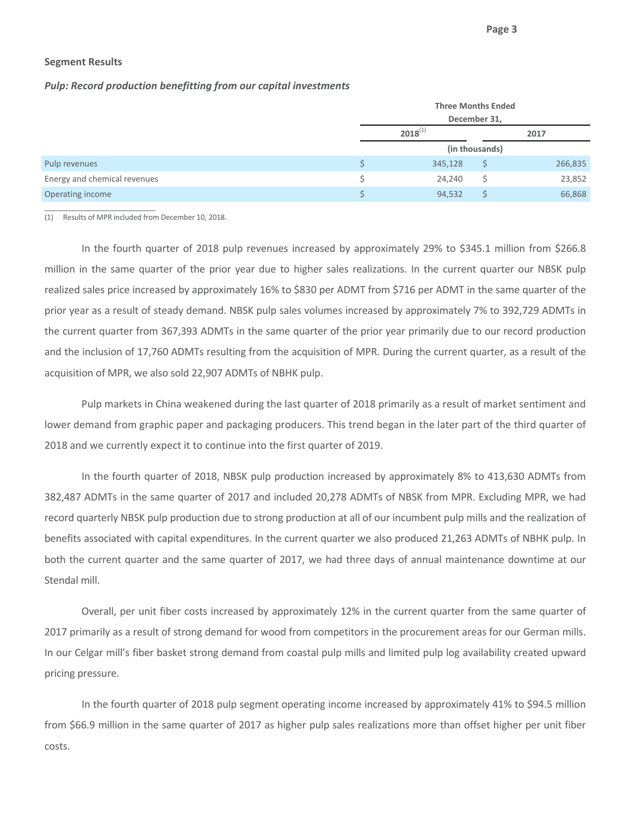### **Segment Results**

## *Pulp: Record production benefitting from our capital investments*

|                              |  | <b>Three Months Ended</b><br>December 31, |                |         |  |  |  |  |  |
|------------------------------|--|-------------------------------------------|----------------|---------|--|--|--|--|--|
|                              |  |                                           |                |         |  |  |  |  |  |
|                              |  | $2018^{(1)}$                              |                | 2017    |  |  |  |  |  |
|                              |  |                                           | (in thousands) |         |  |  |  |  |  |
| Pulp revenues                |  | 345,128                                   |                | 266,835 |  |  |  |  |  |
| Energy and chemical revenues |  | 24.240                                    | S              | 23,852  |  |  |  |  |  |
| Operating income             |  | 94,532                                    |                | 66,868  |  |  |  |  |  |

(1) Results of MPR included from December 10, 2018.

<u> 1989 - Johann Barbara, martin da basar a</u>

In the fourth quarter of 2018 pulp revenues increased by approximately 29% to \$345.1 million from \$266.8 million in the same quarter of the prior year due to higher sales realizations. In the current quarter our NBSK pulp realized sales price increased by approximately 16% to \$830 per ADMT from \$716 per ADMT in the same quarter of the prior year as a result of steady demand. NBSK pulp sales volumes increased by approximately 7% to 392,729 ADMTs in the current quarter from 367,393 ADMTs in the same quarter of the prior year primarily due to our record production and the inclusion of 17,760 ADMTs resulting from the acquisition of MPR. During the current quarter, as a result of the acquisition of MPR, we also sold 22,907 ADMTs of NBHK pulp.

Pulp markets in China weakened during the last quarter of 2018 primarily as a result of market sentiment and lower demand from graphic paper and packaging producers. This trend began in the later part of the third quarter of 2018 and we currently expect it to continue into the first quarter of 2019.

In the fourth quarter of 2018, NBSK pulp production increased by approximately 8% to 413,630 ADMTs from 382,487 ADMTs in the same quarter of 2017 and included 20,278 ADMTs of NBSK from MPR. Excluding MPR, we had record quarterly NBSK pulp production due to strong production at all of our incumbent pulp mills and the realization of benefits associated with capital expenditures. In the current quarter we also produced 21,263 ADMTs of NBHK pulp. In both the current quarter and the same quarter of 2017, we had three days of annual maintenance downtime at our Stendal mill.

Overall, per unit fiber costs increased by approximately 12% in the current quarter from the same quarter of 2017 primarily as a result of strong demand for wood from competitors in the procurement areas for our German mills. In our Celgar mill's fiber basket strong demand from coastal pulp mills and limited pulp log availability created upward pricing pressure.

In the fourth quarter of 2018 pulp segment operating income increased by approximately 41% to \$94.5 million from \$66.9 million in the same quarter of 2017 as higher pulp sales realizations more than offset higher per unit fiber costs.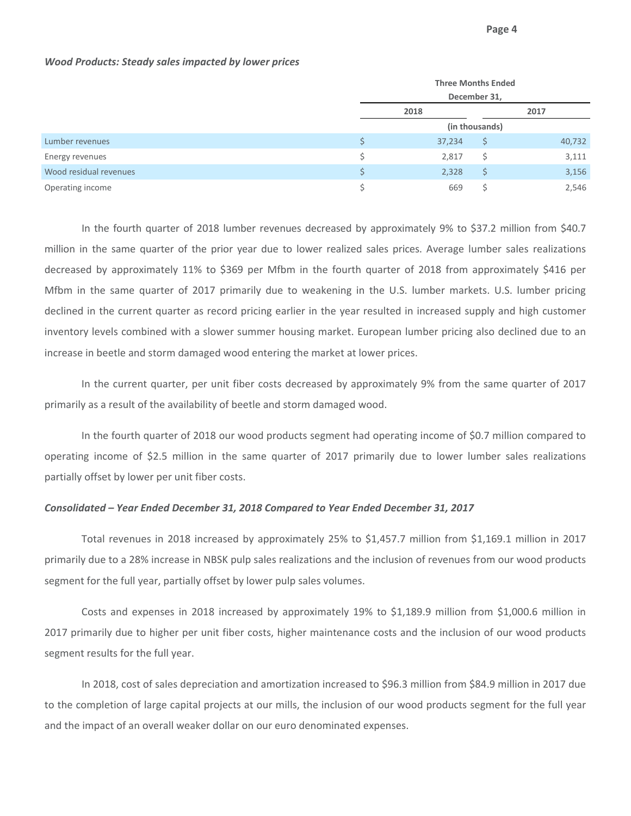|                        | <b>Three Months Ended</b> |                |        |  |  |  |  |  |  |
|------------------------|---------------------------|----------------|--------|--|--|--|--|--|--|
|                        | December 31,              |                |        |  |  |  |  |  |  |
|                        | 2018                      | 2017           |        |  |  |  |  |  |  |
|                        |                           | (in thousands) |        |  |  |  |  |  |  |
| Lumber revenues        | 37,234                    | S              | 40,732 |  |  |  |  |  |  |
| Energy revenues        | 2,817                     | Ŝ              | 3,111  |  |  |  |  |  |  |
| Wood residual revenues | 2,328                     | \$             | 3,156  |  |  |  |  |  |  |
| Operating income       | 669                       | S              | 2,546  |  |  |  |  |  |  |

## *Wood Products: Steady sales impacted by lower prices*

In the fourth quarter of 2018 lumber revenues decreased by approximately 9% to \$37.2 million from \$40.7 million in the same quarter of the prior year due to lower realized sales prices. Average lumber sales realizations decreased by approximately 11% to \$369 per Mfbm in the fourth quarter of 2018 from approximately \$416 per Mfbm in the same quarter of 2017 primarily due to weakening in the U.S. lumber markets. U.S. lumber pricing declined in the current quarter as record pricing earlier in the year resulted in increased supply and high customer inventory levels combined with a slower summer housing market. European lumber pricing also declined due to an increase in beetle and storm damaged wood entering the market at lower prices.

In the current quarter, per unit fiber costs decreased by approximately 9% from the same quarter of 2017 primarily as a result of the availability of beetle and storm damaged wood.

In the fourth quarter of 2018 our wood products segment had operating income of \$0.7 million compared to operating income of \$2.5 million in the same quarter of 2017 primarily due to lower lumber sales realizations partially offset by lower per unit fiber costs.

#### *Consolidated – Year Ended December 31, 2018 Compared to Year Ended December 31, 2017*

Total revenues in 2018 increased by approximately 25% to \$1,457.7 million from \$1,169.1 million in 2017 primarily due to a 28% increase in NBSK pulp sales realizations and the inclusion of revenues from our wood products segment for the full year, partially offset by lower pulp sales volumes.

Costs and expenses in 2018 increased by approximately 19% to \$1,189.9 million from \$1,000.6 million in 2017 primarily due to higher per unit fiber costs, higher maintenance costs and the inclusion of our wood products segment results for the full year.

In 2018, cost of sales depreciation and amortization increased to \$96.3 million from \$84.9 million in 2017 due to the completion of large capital projects at our mills, the inclusion of our wood products segment for the full year and the impact of an overall weaker dollar on our euro denominated expenses.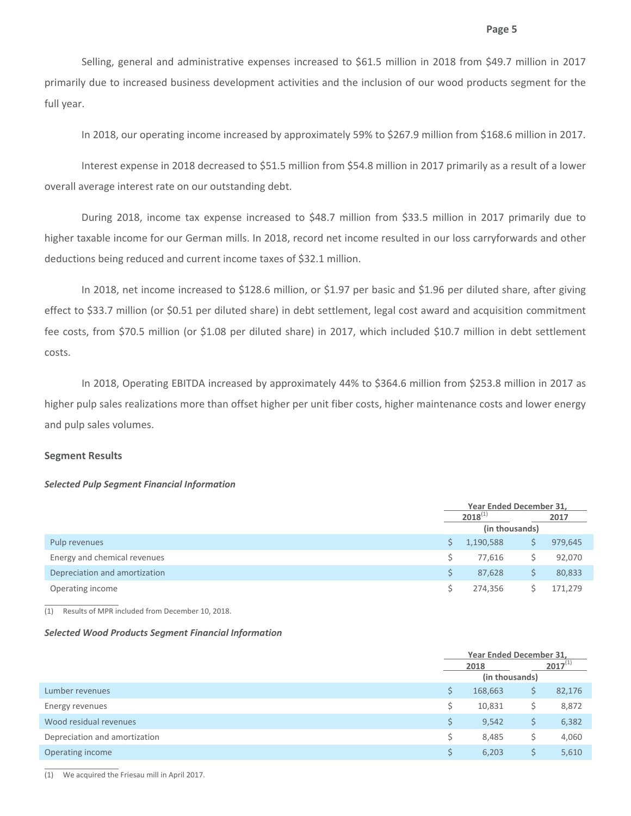Selling, general and administrative expenses increased to \$61.5 million in 2018 from \$49.7 million in 2017 primarily due to increased business development activities and the inclusion of our wood products segment for the full year.

In 2018, our operating income increased by approximately 59% to \$267.9 million from \$168.6 million in 2017.

Interest expense in 2018 decreased to \$51.5 million from \$54.8 million in 2017 primarily as a result of a lower overall average interest rate on our outstanding debt.

During 2018, income tax expense increased to \$48.7 million from \$33.5 million in 2017 primarily due to higher taxable income for our German mills. In 2018, record net income resulted in our loss carryforwards and other deductions being reduced and current income taxes of \$32.1 million.

In 2018, net income increased to \$128.6 million, or \$1.97 per basic and \$1.96 per diluted share, after giving effect to \$33.7 million (or \$0.51 per diluted share) in debt settlement, legal cost award and acquisition commitment fee costs, from \$70.5 million (or \$1.08 per diluted share) in 2017, which included \$10.7 million in debt settlement costs.

In 2018, Operating EBITDA increased by approximately 44% to \$364.6 million from \$253.8 million in 2017 as higher pulp sales realizations more than offset higher per unit fiber costs, higher maintenance costs and lower energy and pulp sales volumes.

#### **Segment Results**

#### *Selected Pulp Segment Financial Information*

|                               | Year Ended December 31, |                |  |         |  |  |
|-------------------------------|-------------------------|----------------|--|---------|--|--|
|                               |                         | $2018^{(1)}$   |  | 2017    |  |  |
|                               |                         | (in thousands) |  |         |  |  |
| Pulp revenues                 |                         | 1,190,588      |  | 979,645 |  |  |
| Energy and chemical revenues  |                         | 77,616         |  | 92,070  |  |  |
| Depreciation and amortization |                         | 87,628         |  | 80,833  |  |  |
| Operating income              |                         | 274,356        |  | 171.279 |  |  |

(1) Results of MPR included from December 10, 2018.

#### *Selected Wood Products Segment Financial Information*

|                               |    | Year Ended December 31, |   |              |  |  |  |
|-------------------------------|----|-------------------------|---|--------------|--|--|--|
|                               |    | 2018                    |   | $2017^{(1)}$ |  |  |  |
|                               |    | (in thousands)          |   |              |  |  |  |
| Lumber revenues               | \$ | 168,663                 | S | 82,176       |  |  |  |
| Energy revenues               | Ś  | 10,831                  |   | 8,872        |  |  |  |
| Wood residual revenues        | S. | 9,542                   | S | 6,382        |  |  |  |
| Depreciation and amortization | \$ | 8,485                   | S | 4,060        |  |  |  |
| Operating income              | \$ | 6,203                   |   | 5,610        |  |  |  |
|                               |    |                         |   |              |  |  |  |

(1) We acquired the Friesau mill in April 2017.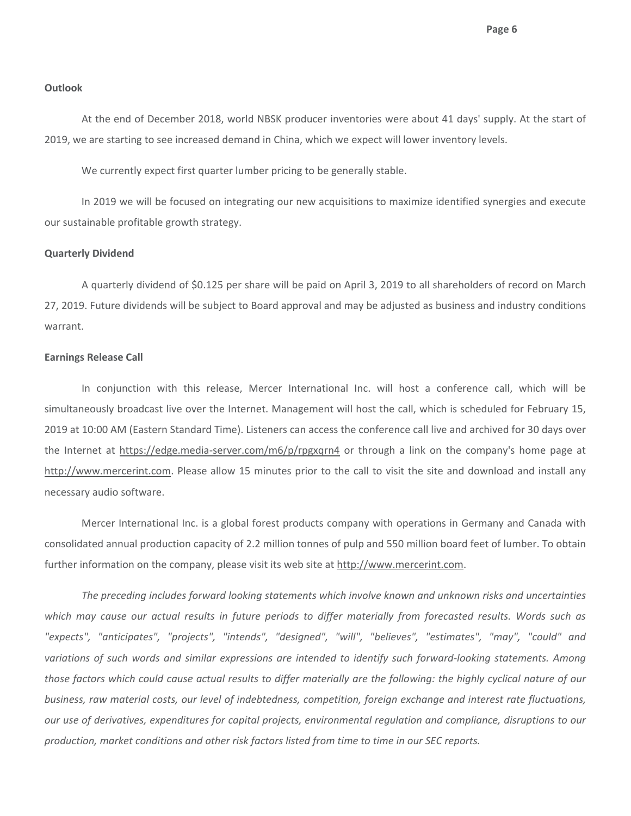**Page 6**

## **Outlook**

At the end of December 2018, world NBSK producer inventories were about 41 days' supply. At the start of 2019, we are starting to see increased demand in China, which we expect will lower inventory levels.

We currently expect first quarter lumber pricing to be generally stable.

In 2019 we will be focused on integrating our new acquisitions to maximize identified synergies and execute our sustainable profitable growth strategy.

## **Quarterly Dividend**

A quarterly dividend of \$0.125 per share will be paid on April 3, 2019 to all shareholders of record on March 27, 2019. Future dividends will be subject to Board approval and may be adjusted as business and industry conditions warrant.

#### **Earnings Release Call**

In conjunction with this release, Mercer International Inc. will host a conference call, which will be simultaneously broadcast live over the Internet. Management will host the call, which is scheduled for February 15, 2019 at 10:00 AM (Eastern Standard Time). Listeners can access the conference call live and archived for 30 days over the Internet at https://edge.media-server.com/m6/p/rpgxqrn4 or through a link on the company's home page at http://www.mercerint.com. Please allow 15 minutes prior to the call to visit the site and download and install any necessary audio software.

Mercer International Inc. is a global forest products company with operations in Germany and Canada with consolidated annual production capacity of 2.2 million tonnes of pulp and 550 million board feet of lumber. To obtain further information on the company, please visit its web site at http://www.mercerint.com.

*The preceding includes forward looking statements which involve known and unknown risks and uncertainties* which may cause our actual results in future periods to differ materially from forecasted results. Words such as *"expects", "anticipates", "projects", "intends", "designed", "will", "believes", "estimates", "may", "could" and* variations of such words and similar expressions are intended to identify such forward-looking statements. Among those factors which could cause actual results to differ materially are the following: the highly cyclical nature of our *business, raw material costs, our level of indebtedness, competition, foreign exchange and interest rate fluctuations, our use of derivatives, expenditures for capital projects, environmental regulation and compliance, disruptions to our production, market conditions and other risk factors listed from time to time in our SEC reports.*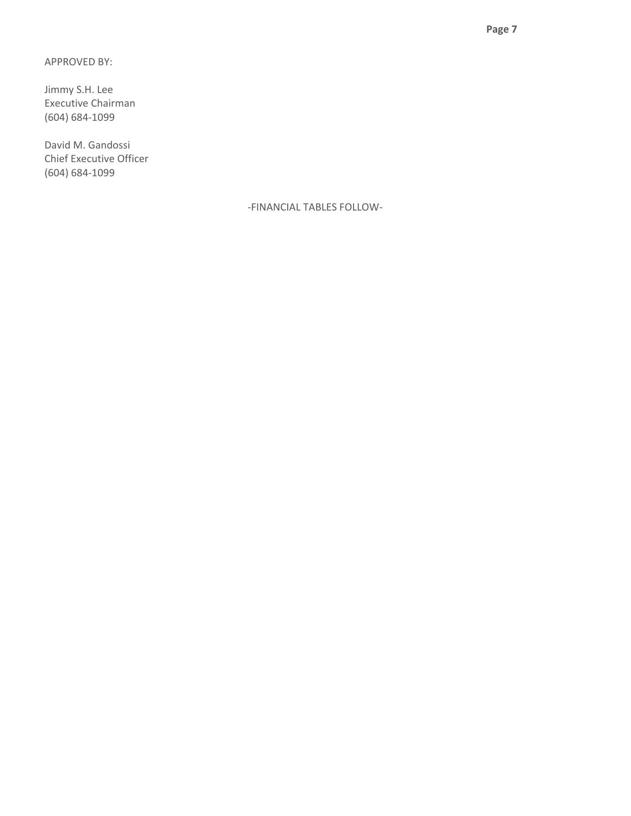APPROVED BY:

Jimmy S.H. Lee Executive Chairman (604) 684‐1099

David M. Gandossi Chief Executive Officer (604) 684‐1099

‐FINANCIAL TABLES FOLLOW‐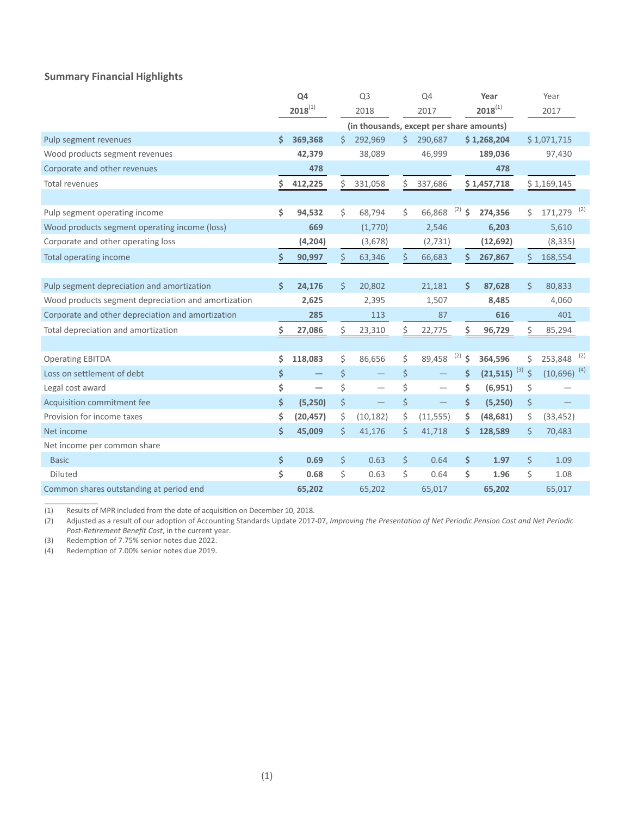# **Summary Financial Highlights**

|                                                     |    | Q4           | Q <sub>3</sub> |                                          |         | Q4        |           | Year                         |    | Year                      |     |
|-----------------------------------------------------|----|--------------|----------------|------------------------------------------|---------|-----------|-----------|------------------------------|----|---------------------------|-----|
|                                                     |    | $2018^{(1)}$ |                | 2018                                     |         | 2017      |           | $2018^{(1)}$                 |    | 2017                      |     |
|                                                     |    |              |                | (in thousands, except per share amounts) |         |           |           |                              |    |                           |     |
| Pulp segment revenues                               | \$ | 369,368      | \$             | 292,969                                  | Ś       | 290,687   |           | \$1,268,204                  |    | \$1,071,715               |     |
| Wood products segment revenues                      |    | 42,379       |                | 38,089                                   |         | 46,999    |           | 189,036                      |    | 97,430                    |     |
| Corporate and other revenues                        |    | 478          |                |                                          |         |           |           | 478                          |    |                           |     |
| Total revenues                                      | \$ | 412,225      | \$             | 331,058                                  | \$      | 337,686   |           | \$1,457,718                  |    | \$1,169,145               |     |
|                                                     |    |              |                |                                          |         |           |           |                              |    |                           |     |
| Pulp segment operating income                       | \$ | 94,532       | \$             | 68,794                                   | \$      | 66,868    | (2)<br>\$ | 274,356                      | \$ | $171,279$ <sup>(2)</sup>  |     |
| Wood products segment operating income (loss)       |    | 669          |                | (1,770)                                  |         | 2,546     |           | 6,203                        |    | 5,610                     |     |
| Corporate and other operating loss                  |    | (4,204)      |                | (3,678)                                  |         | (2,731)   |           | (12, 692)                    |    | (8, 335)                  |     |
| Total operating income                              | \$ | 90,997       | Ś              | 63,346                                   | Ś       | 66,683    | Ś         | 267,867                      | Ś  | 168,554                   |     |
|                                                     |    |              |                |                                          |         |           |           |                              |    |                           |     |
| Pulp segment depreciation and amortization          | \$ | 24,176       | \$             | 20,802                                   |         | 21,181    | \$.       | 87,628                       | \$ | 80,833                    |     |
| Wood products segment depreciation and amortization |    | 2,625        |                | 2,395                                    |         | 1,507     |           | 8,485                        |    | 4,060                     |     |
| Corporate and other depreciation and amortization   |    | 285          |                | 113                                      |         | 87        |           | 616                          |    | 401                       |     |
| Total depreciation and amortization                 | Ś  | 27,086       | \$             | 23,310                                   | \$      | 22,775    | \$        | 96,729                       | \$ | 85,294                    |     |
|                                                     |    |              |                |                                          |         |           |           |                              |    |                           |     |
| <b>Operating EBITDA</b>                             | \$ | 118,083      | \$             | 86,656                                   | \$      | 89,458    | (2)<br>Ś  | 364,596                      | \$ | 253,848                   | (2) |
| Loss on settlement of debt                          | \$ |              | \$             | $\overline{\phantom{0}}$                 | \$      |           | \$        | $(21,515)$ <sup>(3)</sup> \$ |    | $(10,696)$ <sup>(4)</sup> |     |
| Legal cost award                                    | \$ |              | \$             |                                          | \$      |           | \$        | (6, 951)                     | \$ |                           |     |
| Acquisition commitment fee                          | \$ | (5,250)      | \$             | $\qquad \qquad -$                        | \$      |           | \$        | (5,250)                      | \$ |                           |     |
| Provision for income taxes                          | \$ | (20, 457)    | \$             | (10, 182)                                | \$      | (11, 555) | \$        | (48, 681)                    | \$ | (33, 452)                 |     |
| Net income                                          | \$ | 45,009       | Ś.             | 41,176                                   | \$      | 41,718    | \$.       | 128,589                      | \$ | 70,483                    |     |
| Net income per common share                         |    |              |                |                                          |         |           |           |                              |    |                           |     |
| <b>Basic</b>                                        | \$ | 0.69         | \$             | 0.63                                     | $\zeta$ | 0.64      | \$        | 1.97                         | \$ | 1.09                      |     |
| Diluted                                             | \$ | 0.68         | Ś              | 0.63                                     | \$      | 0.64      | \$        | 1.96                         | \$ | 1.08                      |     |
| Common shares outstanding at period end             |    | 65,202       |                | 65,202                                   |         | 65,017    |           | 65,202                       |    | 65,017                    |     |

(1) Results of MPR included from the date of acquisition on December 10, 2018.

(2) Adjusted as a result of our adoption of Accounting Standards Update 2017-07, Improving the Presentation of Net Periodic Pension Cost and Net Periodic *Post‐Retirement Benefit Cost*, in the current year.

(3) Redemption of 7.75% senior notes due 2022.<br>(4) Redemption of 7.00% senior notes due 2019.

\_\_\_\_\_\_\_\_\_\_\_\_\_

Redemption of 7.00% senior notes due 2019.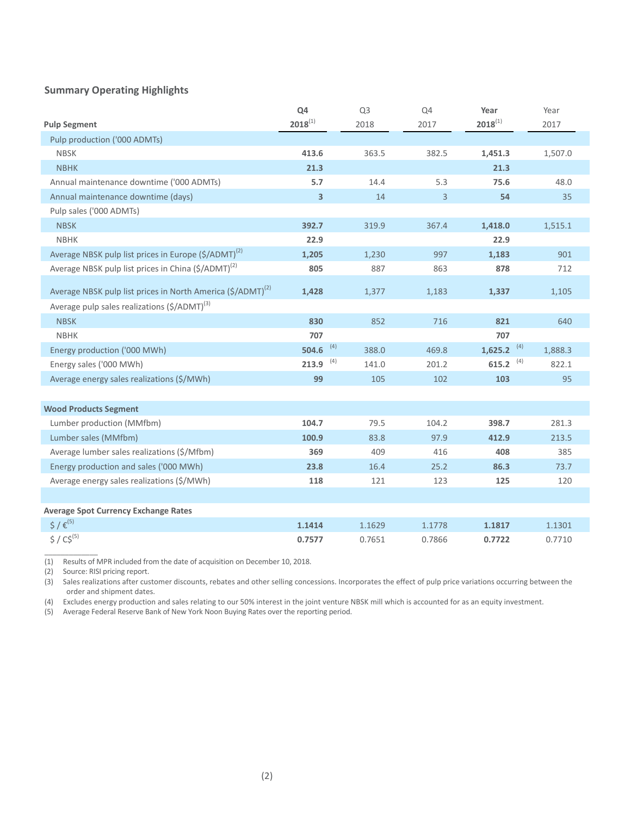# **Summary Operating Highlights**

|                                                                         | Q4           | Q <sub>3</sub> | Q4     | Year           | Year    |
|-------------------------------------------------------------------------|--------------|----------------|--------|----------------|---------|
| <b>Pulp Segment</b>                                                     | $2018^{(1)}$ | 2018           | 2017   | $2018^{(1)}$   | 2017    |
| Pulp production ('000 ADMTs)                                            |              |                |        |                |         |
| <b>NBSK</b>                                                             | 413.6        | 363.5          | 382.5  | 1,451.3        | 1,507.0 |
| <b>NBHK</b>                                                             | 21.3         |                |        | 21.3           |         |
| Annual maintenance downtime ('000 ADMTs)                                | 5.7          | 14.4           | 5.3    | 75.6           | 48.0    |
| Annual maintenance downtime (days)                                      | 3            | 14             | 3      | 54             | 35      |
| Pulp sales ('000 ADMTs)                                                 |              |                |        |                |         |
| <b>NBSK</b>                                                             | 392.7        | 319.9          | 367.4  | 1,418.0        | 1,515.1 |
| <b>NBHK</b>                                                             | 22.9         |                |        | 22.9           |         |
| Average NBSK pulp list prices in Europe (\$/ADMT) <sup>(2)</sup>        | 1,205        | 1,230          | 997    | 1,183          | 901     |
| Average NBSK pulp list prices in China (\$/ADMT) <sup>(2)</sup>         | 805          | 887            | 863    | 878            | 712     |
| Average NBSK pulp list prices in North America (\$/ADMT) <sup>(2)</sup> | 1,428        | 1,377          | 1,183  | 1,337          | 1,105   |
| Average pulp sales realizations (\$/ADMT) <sup>(3)</sup>                |              |                |        |                |         |
| <b>NBSK</b>                                                             | 830          | 852            | 716    | 821            | 640     |
| <b>NBHK</b>                                                             | 707          |                |        | 707            |         |
| Energy production ('000 MWh)                                            | (4)<br>504.6 | 388.0          | 469.8  | (4)<br>1,625.2 | 1,888.3 |
| Energy sales ('000 MWh)                                                 | (4)<br>213.9 | 141.0          | 201.2  | (4)<br>615.2   | 822.1   |
| Average energy sales realizations (\$/MWh)                              | 99           | 105            | 102    | 103            | 95      |
|                                                                         |              |                |        |                |         |
| <b>Wood Products Segment</b>                                            |              |                |        |                |         |
| Lumber production (MMfbm)                                               | 104.7        | 79.5           | 104.2  | 398.7          | 281.3   |
| Lumber sales (MMfbm)                                                    | 100.9        | 83.8           | 97.9   | 412.9          | 213.5   |
| Average lumber sales realizations (\$/Mfbm)                             | 369          | 409            | 416    | 408            | 385     |
| Energy production and sales ('000 MWh)                                  | 23.8         | 16.4           | 25.2   | 86.3           | 73.7    |
| Average energy sales realizations (\$/MWh)                              | 118          | 121            | 123    | 125            | 120     |
|                                                                         |              |                |        |                |         |
| <b>Average Spot Currency Exchange Rates</b>                             |              |                |        |                |         |
| $5/5^{(5)}$                                                             | 1.1414       | 1.1629         | 1.1778 | 1.1817         | 1.1301  |
| $$ / C$^{(5)}$                                                          | 0.7577       | 0.7651         | 0.7866 | 0.7722         | 0.7710  |

(1) Results of MPR included from the date of acquisition on December 10, 2018.

(2) Source: RISI pricing report.

(3) Sales realizations after customer discounts, rebates and other selling concessions. Incorporates the effect of pulp price variations occurring between the order and shipment dates.

(4) Excludes energy production and sales relating to our 50% interest in the joint venture NBSK mill which is accounted for as an equity investment.

(5) Average Federal Reserve Bank of New York Noon Buying Rates over the reporting period.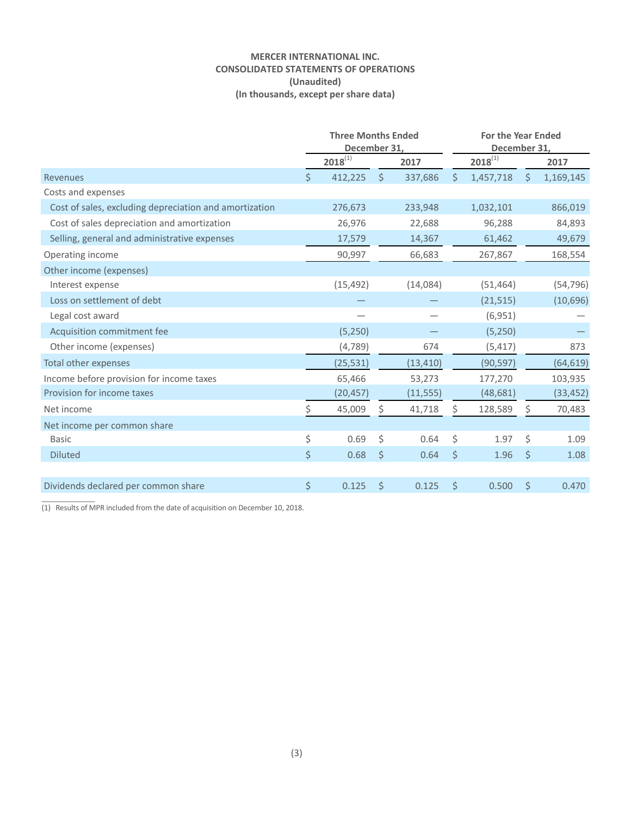## **MERCER INTERNATIONAL INC. CONSOLIDATED STATEMENTS OF OPERATIONS (Unaudited) (In thousands, except per share data)**

|                                                        | <b>Three Months Ended</b><br>December 31, |              |         |           | <b>For the Year Ended</b><br>December 31, |              |         |           |  |
|--------------------------------------------------------|-------------------------------------------|--------------|---------|-----------|-------------------------------------------|--------------|---------|-----------|--|
|                                                        |                                           | $2018^{(1)}$ |         | 2017      |                                           | $2018^{(1)}$ |         | 2017      |  |
| Revenues                                               | \$                                        | 412,225      | $\zeta$ | 337,686   | \$                                        | 1,457,718    | $\zeta$ | 1,169,145 |  |
| Costs and expenses                                     |                                           |              |         |           |                                           |              |         |           |  |
| Cost of sales, excluding depreciation and amortization |                                           | 276,673      |         | 233,948   |                                           | 1,032,101    |         | 866,019   |  |
| Cost of sales depreciation and amortization            |                                           | 26,976       |         | 22,688    |                                           | 96,288       |         | 84,893    |  |
| Selling, general and administrative expenses           |                                           | 17,579       |         | 14,367    |                                           | 61,462       |         | 49,679    |  |
| Operating income                                       |                                           | 90,997       |         | 66,683    |                                           | 267,867      |         | 168,554   |  |
| Other income (expenses)                                |                                           |              |         |           |                                           |              |         |           |  |
| Interest expense                                       |                                           | (15, 492)    |         | (14,084)  |                                           | (51, 464)    |         | (54, 796) |  |
| Loss on settlement of debt                             |                                           |              |         |           |                                           | (21, 515)    |         | (10,696)  |  |
| Legal cost award                                       |                                           |              |         |           |                                           | (6,951)      |         |           |  |
| Acquisition commitment fee                             |                                           | (5,250)      |         |           |                                           | (5,250)      |         |           |  |
| Other income (expenses)                                |                                           | (4,789)      |         | 674       |                                           | (5, 417)     |         | 873       |  |
| Total other expenses                                   |                                           | (25, 531)    |         | (13, 410) |                                           | (90, 597)    |         | (64, 619) |  |
| Income before provision for income taxes               |                                           | 65,466       |         | 53,273    |                                           | 177,270      |         | 103,935   |  |
| Provision for income taxes                             |                                           | (20, 457)    |         | (11, 555) |                                           | (48, 681)    |         | (33, 452) |  |
| Net income                                             | Ś.                                        | 45,009       | Ŝ.      | 41,718    | Ś.                                        | 128,589      | Ś.      | 70,483    |  |
| Net income per common share                            |                                           |              |         |           |                                           |              |         |           |  |
| <b>Basic</b>                                           | \$                                        | 0.69         | \$      | 0.64      | \$                                        | 1.97         | \$      | 1.09      |  |
| <b>Diluted</b>                                         | \$                                        | 0.68         | $\zeta$ | 0.64      | \$                                        | 1.96         | $\zeta$ | 1.08      |  |
|                                                        |                                           |              |         |           |                                           |              |         |           |  |
| Dividends declared per common share                    | \$                                        | 0.125        | \$      | 0.125     | Ś                                         | 0.500        | \$      | 0.470     |  |
|                                                        |                                           |              |         |           |                                           |              |         |           |  |

(1) Results of MPR included from the date of acquisition on December 10, 2018.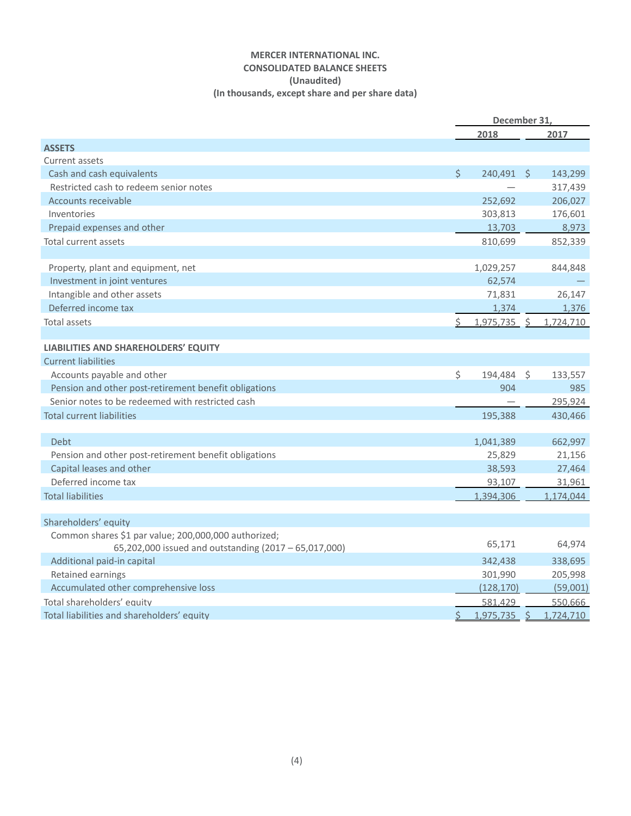# **MERCER INTERNATIONAL INC. CONSOLIDATED BALANCE SHEETS (Unaudited) (In thousands, except share and per share data)**

|                                                       |         | December 31,   |         |           |
|-------------------------------------------------------|---------|----------------|---------|-----------|
|                                                       |         | 2018           |         | 2017      |
| <b>ASSETS</b>                                         |         |                |         |           |
| Current assets                                        |         |                |         |           |
| Cash and cash equivalents                             | $\zeta$ | 240,491        | S.      | 143,299   |
| Restricted cash to redeem senior notes                |         |                |         | 317,439   |
| <b>Accounts receivable</b>                            |         | 252,692        |         | 206,027   |
| Inventories                                           |         | 303,813        |         | 176,601   |
| Prepaid expenses and other                            |         | 13,703         |         | 8,973     |
| <b>Total current assets</b>                           |         | 810,699        |         | 852,339   |
|                                                       |         |                |         |           |
| Property, plant and equipment, net                    |         | 1,029,257      |         | 844,848   |
| Investment in joint ventures                          |         | 62,574         |         |           |
| Intangible and other assets                           |         | 71,831         |         | 26,147    |
| Deferred income tax                                   |         | 1,374          |         | 1,376     |
| Total assets                                          | \$      | 1,975,735 \$   |         | 1,724,710 |
|                                                       |         |                |         |           |
| LIABILITIES AND SHAREHOLDERS' EQUITY                  |         |                |         |           |
| <b>Current liabilities</b>                            |         |                |         |           |
| Accounts payable and other                            | \$      | 194,484        | $\zeta$ | 133,557   |
| Pension and other post-retirement benefit obligations |         | 904            |         | 985       |
| Senior notes to be redeemed with restricted cash      |         |                |         | 295,924   |
| <b>Total current liabilities</b>                      |         | 195,388        |         | 430,466   |
|                                                       |         |                |         |           |
| Debt                                                  |         | 1,041,389      |         | 662,997   |
| Pension and other post-retirement benefit obligations |         | 25,829         |         | 21,156    |
| Capital leases and other                              |         | 38,593         |         | 27,464    |
| Deferred income tax                                   |         | 93,107         |         | 31,961    |
| <b>Total liabilities</b>                              |         | 1,394,306      |         | 1,174,044 |
|                                                       |         |                |         |           |
| Shareholders' equity                                  |         |                |         |           |
| Common shares \$1 par value; 200,000,000 authorized;  |         |                |         |           |
| 65,202,000 issued and outstanding (2017 - 65,017,000) |         | 65,171         |         | 64,974    |
| Additional paid-in capital                            |         | 342,438        |         | 338,695   |
| Retained earnings                                     |         | 301,990        |         | 205,998   |
| Accumulated other comprehensive loss                  |         | (128, 170)     |         | (59,001)  |
| Total shareholders' equity                            |         | 581.429        |         | 550,666   |
| Total liabilities and shareholders' equity            |         | $1,975,735$ \$ |         | 1,724,710 |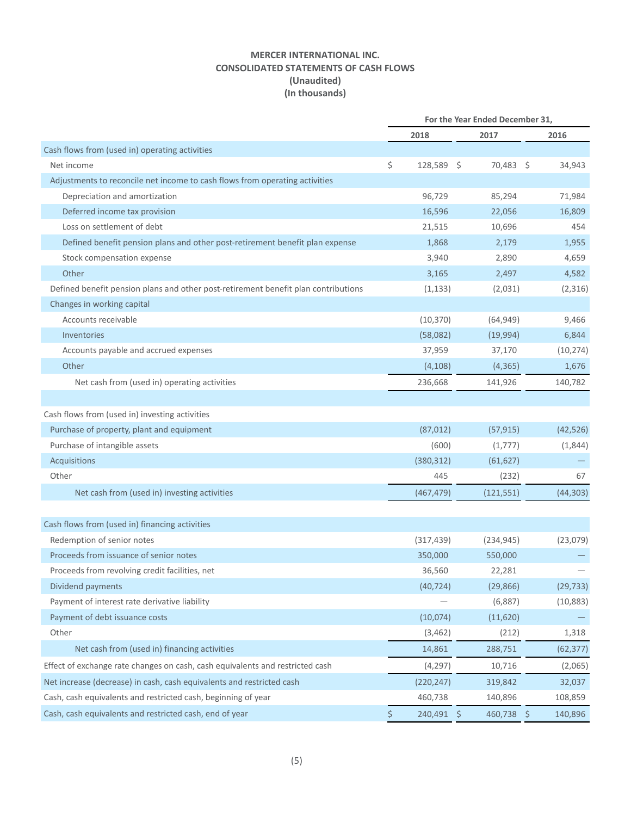# **MERCER INTERNATIONAL INC. CONSOLIDATED STATEMENTS OF CASH FLOWS (Unaudited) (In thousands)**

|                                                                                    | For the Year Ended December 31, |            |   |            |  |           |
|------------------------------------------------------------------------------------|---------------------------------|------------|---|------------|--|-----------|
|                                                                                    |                                 | 2018       |   | 2017       |  | 2016      |
| Cash flows from (used in) operating activities                                     |                                 |            |   |            |  |           |
| Net income                                                                         | \$                              | 128,589 \$ |   | 70,483 \$  |  | 34,943    |
| Adjustments to reconcile net income to cash flows from operating activities        |                                 |            |   |            |  |           |
| Depreciation and amortization                                                      |                                 | 96,729     |   | 85,294     |  | 71,984    |
| Deferred income tax provision                                                      |                                 | 16,596     |   | 22,056     |  | 16,809    |
| Loss on settlement of debt                                                         |                                 | 21,515     |   | 10,696     |  | 454       |
| Defined benefit pension plans and other post-retirement benefit plan expense       |                                 | 1,868      |   | 2,179      |  | 1,955     |
| Stock compensation expense                                                         |                                 | 3,940      |   | 2,890      |  | 4,659     |
| Other                                                                              |                                 | 3,165      |   | 2,497      |  | 4,582     |
| Defined benefit pension plans and other post-retirement benefit plan contributions |                                 | (1, 133)   |   | (2,031)    |  | (2,316)   |
| Changes in working capital                                                         |                                 |            |   |            |  |           |
| Accounts receivable                                                                |                                 | (10, 370)  |   | (64, 949)  |  | 9,466     |
| Inventories                                                                        |                                 | (58,082)   |   | (19,994)   |  | 6,844     |
| Accounts payable and accrued expenses                                              |                                 | 37,959     |   | 37,170     |  | (10, 274) |
| Other                                                                              |                                 | (4, 108)   |   | (4, 365)   |  | 1,676     |
| Net cash from (used in) operating activities                                       |                                 | 236,668    |   | 141,926    |  | 140,782   |
|                                                                                    |                                 |            |   |            |  |           |
| Cash flows from (used in) investing activities                                     |                                 |            |   |            |  |           |
| Purchase of property, plant and equipment                                          |                                 | (87, 012)  |   | (57, 915)  |  | (42, 526) |
| Purchase of intangible assets                                                      |                                 | (600)      |   | (1,777)    |  | (1,844)   |
| Acquisitions                                                                       |                                 | (380, 312) |   | (61, 627)  |  |           |
| Other                                                                              |                                 | 445        |   | (232)      |  | 67        |
| Net cash from (used in) investing activities                                       |                                 | (467, 479) |   | (121, 551) |  | (44, 303) |
|                                                                                    |                                 |            |   |            |  |           |
| Cash flows from (used in) financing activities                                     |                                 |            |   |            |  |           |
| Redemption of senior notes                                                         |                                 | (317, 439) |   | (234, 945) |  | (23,079)  |
| Proceeds from issuance of senior notes                                             |                                 | 350,000    |   | 550,000    |  |           |
| Proceeds from revolving credit facilities, net                                     |                                 | 36,560     |   | 22,281     |  |           |
| Dividend payments                                                                  |                                 | (40, 724)  |   | (29, 866)  |  | (29, 733) |
| Payment of interest rate derivative liability                                      |                                 |            |   | (6,887)    |  | (10, 883) |
| Payment of debt issuance costs                                                     |                                 | (10,074)   |   | (11,620)   |  |           |
| Other                                                                              |                                 | (3, 462)   |   | (212)      |  | 1,318     |
| Net cash from (used in) financing activities                                       |                                 | 14,861     |   | 288,751    |  | (62, 377) |
| Effect of exchange rate changes on cash, cash equivalents and restricted cash      |                                 | (4, 297)   |   | 10,716     |  | (2,065)   |
| Net increase (decrease) in cash, cash equivalents and restricted cash              |                                 | (220, 247) |   | 319,842    |  | 32,037    |
| Cash, cash equivalents and restricted cash, beginning of year                      |                                 | 460,738    |   | 140,896    |  | 108,859   |
| Cash, cash equivalents and restricted cash, end of year                            | \$                              | 240,491    | S | 460,738 \$ |  | 140,896   |